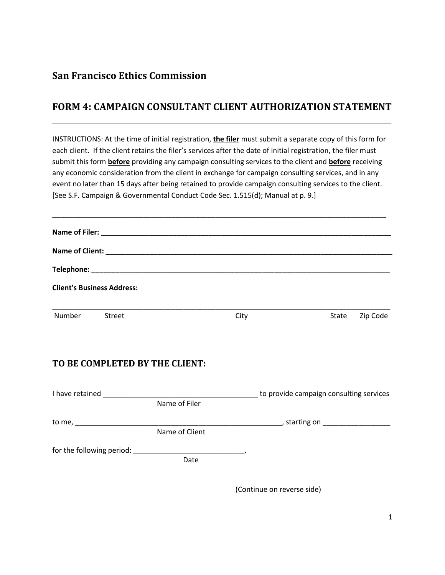## **San Francisco Ethics Commission**

## **FORM 4: CAMPAIGN CONSULTANT CLIENT AUTHORIZATION STATEMENT \_\_\_\_\_\_\_\_\_\_\_\_\_\_\_\_\_\_\_\_\_\_\_\_\_\_\_\_\_\_\_\_\_\_\_\_\_\_\_\_\_\_\_\_\_\_\_\_\_\_\_\_\_\_\_\_\_\_\_\_\_\_\_\_\_\_\_\_\_\_**

INSTRUCTIONS: At the time of initial registration, **the filer** must submit a separate copy of this form for each client. If the client retains the filer's services after the date of initial registration, the filer must submit this form **before** providing any campaign consulting services to the client and **before** receiving any economic consideration from the client in exchange for campaign consulting services, and in any event no later than 15 days after being retained to provide campaign consulting services to the client. [See S.F. Campaign & Governmental Conduct Code Sec. 1.515(d); Manual at p. 9.]

\_\_\_\_\_\_\_\_\_\_\_\_\_\_\_\_\_\_\_\_\_\_\_\_\_\_\_\_\_\_\_\_\_\_\_\_\_\_\_\_\_\_\_\_\_\_\_\_\_\_\_\_\_\_\_\_\_\_\_\_\_\_\_\_\_\_\_\_\_\_\_\_\_\_\_\_\_\_\_\_\_\_\_\_

|               |                                                                    |      |                   | <b>Client's Business Address:</b> |
|---------------|--------------------------------------------------------------------|------|-------------------|-----------------------------------|
| Number Street |                                                                    | City | Zip Code<br>State |                                   |
|               |                                                                    |      |                   |                                   |
|               | TO BE COMPLETED BY THE CLIENT:                                     |      |                   |                                   |
| Name of Filer |                                                                    |      |                   |                                   |
|               |                                                                    |      |                   |                                   |
|               | Name of Client                                                     |      |                   |                                   |
|               | for the following period: _______________________________.<br>Date |      |                   |                                   |

(Continue on reverse side)